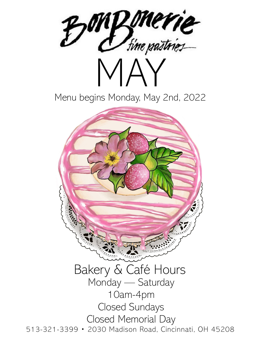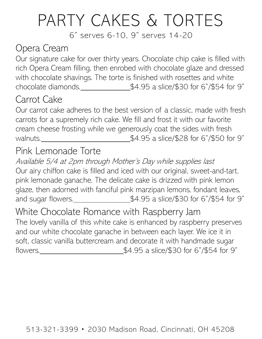## PARTY CAKES & TORTES

6" serves 6-10, 9" serves 14-20

#### Opera Cream

Our signature cake for over thirty years. Chocolate chip cake is filled with rich Opera Cream filling, then enrobed with chocolate glaze and dressed with chocolate shavings. The torte is finished with rosettes and white chocolate diamonds. $\frac{1}{2}$   $\frac{1}{2}$   $\frac{1}{2}$   $\frac{1}{2}$   $\frac{1}{2}$   $\frac{1}{2}$   $\frac{1}{2}$   $\frac{1}{2}$   $\frac{1}{2}$   $\frac{1}{2}$   $\frac{1}{2}$   $\frac{1}{2}$   $\frac{1}{2}$   $\frac{1}{2}$   $\frac{1}{2}$   $\frac{1}{2}$   $\frac{1}{2}$   $\frac{1}{2}$   $\frac{1}{2}$   $\frac{1}{2}$   $\$ 

#### Carrot Cake

Our carrot cake adheres to the best version of a classic, made with fresh carrots for a supremely rich cake. We fill and frost it with our favorite cream cheese frosting while we generously coat the sides with fresh walnuts. Moreover Malnuts. Malnuts. Malnuts. Malnuts. Malnuts. Malnuts. Malnuts. Malnuts. Malnuts. Malnuts.  $$4.95$  a slice/\$28 for 6"/\$50 for 9"

#### Pink Lemonade Torte

Available 5/4 at 2pm through Mother's Day while supplies last Our airy chiffon cake is filled and iced with our original, sweet-and-tart, pink lemonade ganache. The delicate cake is drizzed with pink lemon glaze, then adorned with fanciful pink marzipan lemons, fondant leaves, and sugar flowers.<br> $\frac{1}{2}$  = \$4.95 a slice/\$30 for 6"/\$54 for 9"

White Chocolate Romance with Raspberry Jam The lovely vanilla of this white cake is enhanced by raspberry preserves and our white chocolate ganache in between each layer. We ice it in soft, classic vanilla buttercream and decorate it with handmade sugar flowers. \$4.95 a slice/\$30 for 6"/\$54 for 9"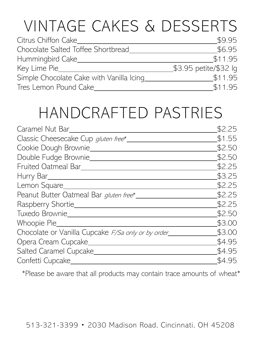# VINTAGE CAKES & DESSERTS

| Citrus Chiffon Cake                      | \$9.95                |
|------------------------------------------|-----------------------|
| Chocolate Salted Toffee Shortbread       | \$6.95                |
| Hummingbird Cake_                        | \$11.95               |
| Key Lime Pie_                            | \$3.95 petite/\$32 lg |
| Simple Chocolate Cake with Vanilla Icinq | \$11.95               |
| Tres Lemon Pound Cake                    | \$11.95               |

### HANDCRAFTED PASTRIES

| Caramel Nut Bar                                    | \$2.25 |
|----------------------------------------------------|--------|
| Classic Cheesecake Cup gluten free*                | \$1.55 |
| Cookie Dough Brownie                               | \$2.50 |
| Double Fudge Brownie_                              | \$2.50 |
| Fruited Oatmeal Bar_                               | \$2.25 |
| Hurry Bar___                                       | \$3.25 |
| Lemon Square_                                      | \$2.25 |
| Peanut Butter Oatmeal Bar gluten free*             | \$2.25 |
| Raspberry Shortie_                                 | \$2.25 |
| Tuxedo Brownie                                     | \$2.50 |
| Whoopie Pie                                        | \$3.00 |
| Chocolate or Vanilla Cupcake F/Sa only or by order | \$3.00 |
| Opera Cream Cupcake_                               | \$4.95 |
| Salted Caramel Cupcake                             | \$4.95 |
| Confetti Cupcake                                   | \$4.95 |
|                                                    |        |

\*Please be aware that all products may contain trace amounts of wheat\*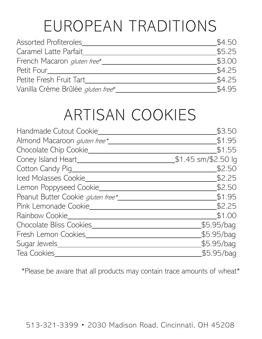## EUROPEAN TRADITIONS

| <b>Assorted Profiteroles</b>       | \$4.50 |
|------------------------------------|--------|
| Caramel Latte Parfait              | \$5.25 |
| French Macaron <i>gluten free*</i> | \$3.00 |
| Petit Four                         | \$4.25 |
| Petite Fresh Fruit Tart            | \$4.25 |
| Vanilla Crème Brûlée gluten free*  | \$4.95 |

### ARTISAN COOKIES

| Handmade Cutout Cookie              | \$3.50              |
|-------------------------------------|---------------------|
| Almond Macaroon <i>gluten free*</i> | \$1.95              |
| Chocolate Chip Cookie_              | \$1.55              |
| Coney Island Heart_                 | \$1.45 sm/\$2.50 lg |
| Cotton Candy Pig_                   | \$2.50              |
| Iced Molasses Cookie_               | \$2.25              |
| Lemon Poppyseed Cookie_             | \$2.50              |
| Peanut Butter Cookie gluten free*   | \$1.95              |
| Pink Lemonade Cookie                | \$2.25              |
| Rainbow Cookie                      | \$1.00              |
| Chocolate Bliss Cookies             | \$5.95/baq          |
| Fresh Lemon Cookies                 | \$5.95/bag          |
| Sugar Jewels_                       | \$5.95/baq          |
| Tea Cookies                         | \$5.95/bag          |

\*Please be aware that all products may contain trace amounts of wheat\*